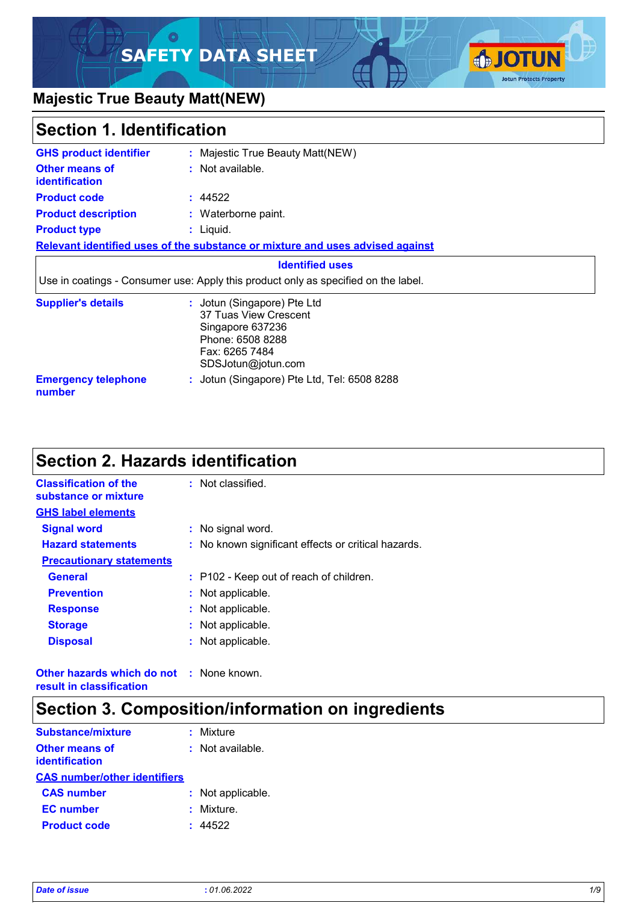# **SAFETY DATA SHEET**



## **Majestic True Beauty Matt(NEW)**

### **Section 1. Identification**

| <b>GHS product identifier</b>           | : Majestic True Beauty Matt(NEW)                                                                                                     |
|-----------------------------------------|--------------------------------------------------------------------------------------------------------------------------------------|
| <b>Other means of</b><br>identification | : Not available.                                                                                                                     |
| <b>Product code</b>                     | : 44522                                                                                                                              |
| <b>Product description</b>              | : Waterborne paint.                                                                                                                  |
| <b>Product type</b>                     | : Liquid.                                                                                                                            |
|                                         | Relevant identified uses of the substance or mixture and uses advised against                                                        |
|                                         | <b>Identified uses</b>                                                                                                               |
|                                         | Use in coatings - Consumer use: Apply this product only as specified on the label.                                                   |
| <b>Supplier's details</b>               | : Jotun (Singapore) Pte Ltd<br>37 Tuas View Crescent<br>Singapore 637236<br>Phone: 6508 8288<br>Fax: 6265 7484<br>SDSJotun@jotun.com |
| <b>Emergency telephone</b><br>number    | : Jotun (Singapore) Pte Ltd, Tel: 6508 8288                                                                                          |

### **Section 2. Hazards identification**

| <b>Classification of the</b><br>substance or mixture | : Not classified.                                   |
|------------------------------------------------------|-----------------------------------------------------|
| <b>GHS label elements</b>                            |                                                     |
| <b>Signal word</b>                                   | : No signal word.                                   |
| <b>Hazard statements</b>                             | : No known significant effects or critical hazards. |
| <b>Precautionary statements</b>                      |                                                     |
| <b>General</b>                                       | : P102 - Keep out of reach of children.             |
| <b>Prevention</b>                                    | : Not applicable.                                   |
| <b>Response</b>                                      | : Not applicable.                                   |
| <b>Storage</b>                                       | : Not applicable.                                   |
| <b>Disposal</b>                                      | : Not applicable.                                   |

**Other hazards which do not :** None known. **result in classification**

### **Section 3. Composition/information on ingredients**

| Substance/mixture                       | : Mixture          |
|-----------------------------------------|--------------------|
| <b>Other means of</b><br>identification | $:$ Not available. |
| <b>CAS number/other identifiers</b>     |                    |
| <b>CAS number</b>                       | : Not applicable.  |
| <b>EC</b> number                        | : Mixture.         |
| <b>Product code</b>                     | : 44522            |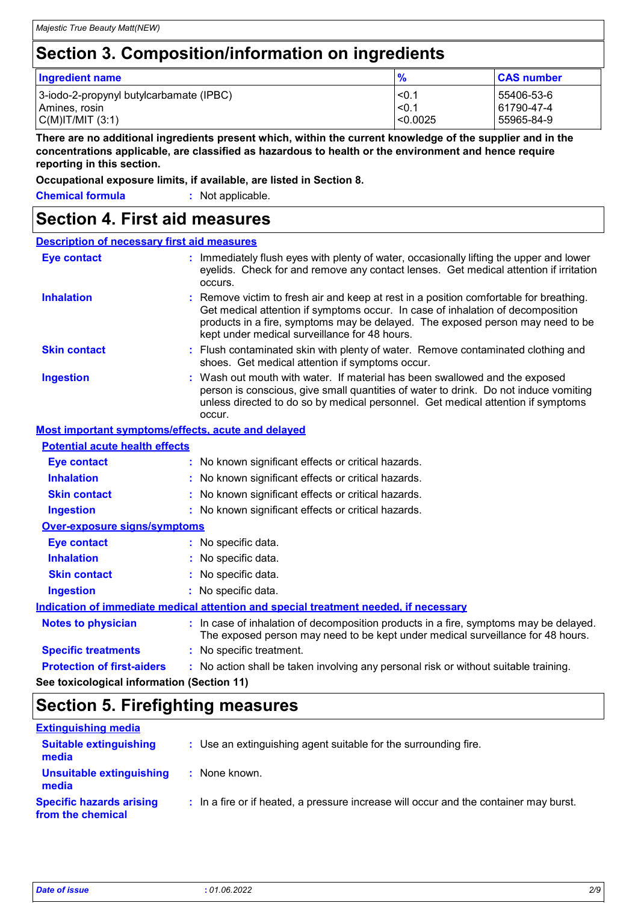### **Section 3. Composition/information on ingredients**

| <b>Ingredient name</b>                  | $\frac{9}{6}$ | <b>CAS number</b> |
|-----------------------------------------|---------------|-------------------|
| 3-iodo-2-propynyl butylcarbamate (IPBC) | < 0.1         | 55406-53-6        |
| Amines, rosin_                          | $-50.1$       | 61790-47-4        |
| C(M) T/MIT (3:1)                        | l<0.0025      | 55965-84-9        |

**There are no additional ingredients present which, within the current knowledge of the supplier and in the concentrations applicable, are classified as hazardous to health or the environment and hence require reporting in this section.**

**Occupational exposure limits, if available, are listed in Section 8.**

| <b>Chemical formula</b> | : Not applicable. |
|-------------------------|-------------------|
|                         |                   |

### **Section 4. First aid measures**

| <b>Description of necessary first aid measures</b>                                   |                                                                                                                                                                                                                                                                                                              |  |  |
|--------------------------------------------------------------------------------------|--------------------------------------------------------------------------------------------------------------------------------------------------------------------------------------------------------------------------------------------------------------------------------------------------------------|--|--|
| <b>Eye contact</b>                                                                   | : Immediately flush eyes with plenty of water, occasionally lifting the upper and lower<br>eyelids. Check for and remove any contact lenses. Get medical attention if irritation<br>occurs.                                                                                                                  |  |  |
| <b>Inhalation</b>                                                                    | : Remove victim to fresh air and keep at rest in a position comfortable for breathing.<br>Get medical attention if symptoms occur. In case of inhalation of decomposition<br>products in a fire, symptoms may be delayed. The exposed person may need to be<br>kept under medical surveillance for 48 hours. |  |  |
| <b>Skin contact</b>                                                                  | : Flush contaminated skin with plenty of water. Remove contaminated clothing and<br>shoes. Get medical attention if symptoms occur.                                                                                                                                                                          |  |  |
| <b>Ingestion</b>                                                                     | : Wash out mouth with water. If material has been swallowed and the exposed<br>person is conscious, give small quantities of water to drink. Do not induce vomiting<br>unless directed to do so by medical personnel. Get medical attention if symptoms<br>occur.                                            |  |  |
| Most important symptoms/effects, acute and delayed                                   |                                                                                                                                                                                                                                                                                                              |  |  |
| <b>Potential acute health effects</b>                                                |                                                                                                                                                                                                                                                                                                              |  |  |
| <b>Eye contact</b>                                                                   | : No known significant effects or critical hazards.                                                                                                                                                                                                                                                          |  |  |
| <b>Inhalation</b>                                                                    | : No known significant effects or critical hazards.                                                                                                                                                                                                                                                          |  |  |
| <b>Skin contact</b>                                                                  | : No known significant effects or critical hazards.                                                                                                                                                                                                                                                          |  |  |
| <b>Ingestion</b>                                                                     | : No known significant effects or critical hazards.                                                                                                                                                                                                                                                          |  |  |
| Over-exposure signs/symptoms                                                         |                                                                                                                                                                                                                                                                                                              |  |  |
| <b>Eye contact</b>                                                                   | : No specific data.                                                                                                                                                                                                                                                                                          |  |  |
| <b>Inhalation</b>                                                                    | : No specific data.                                                                                                                                                                                                                                                                                          |  |  |
| <b>Skin contact</b>                                                                  | : No specific data.                                                                                                                                                                                                                                                                                          |  |  |
| <b>Ingestion</b>                                                                     | : No specific data.                                                                                                                                                                                                                                                                                          |  |  |
| Indication of immediate medical attention and special treatment needed, if necessary |                                                                                                                                                                                                                                                                                                              |  |  |
| <b>Notes to physician</b>                                                            | : In case of inhalation of decomposition products in a fire, symptoms may be delayed.<br>The exposed person may need to be kept under medical surveillance for 48 hours.                                                                                                                                     |  |  |
| <b>Specific treatments</b>                                                           | : No specific treatment.                                                                                                                                                                                                                                                                                     |  |  |
| <b>Protection of first-aiders</b>                                                    | : No action shall be taken involving any personal risk or without suitable training.                                                                                                                                                                                                                         |  |  |
| See toxicological information (Section 11)                                           |                                                                                                                                                                                                                                                                                                              |  |  |

## **Section 5. Firefighting measures**

| <b>Extinguishing media</b>                           |                                                                                       |
|------------------------------------------------------|---------------------------------------------------------------------------------------|
| <b>Suitable extinguishing</b><br>media               | : Use an extinguishing agent suitable for the surrounding fire.                       |
| Unsuitable extinguishing<br>media                    | : None known.                                                                         |
| <b>Specific hazards arising</b><br>from the chemical | : In a fire or if heated, a pressure increase will occur and the container may burst. |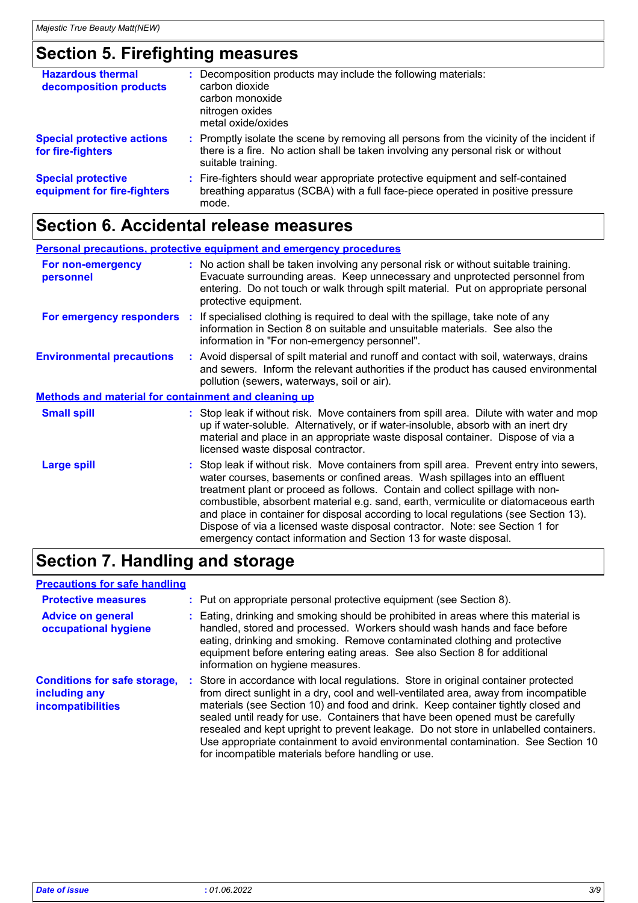### **Section 5. Firefighting measures**

| <b>Hazardous thermal</b><br>decomposition products       | : Decomposition products may include the following materials:<br>carbon dioxide<br>carbon monoxide<br>nitrogen oxides<br>metal oxide/oxides                                                         |
|----------------------------------------------------------|-----------------------------------------------------------------------------------------------------------------------------------------------------------------------------------------------------|
| <b>Special protective actions</b><br>for fire-fighters   | : Promptly isolate the scene by removing all persons from the vicinity of the incident if<br>there is a fire. No action shall be taken involving any personal risk or without<br>suitable training. |
| <b>Special protective</b><br>equipment for fire-fighters | : Fire-fighters should wear appropriate protective equipment and self-contained<br>breathing apparatus (SCBA) with a full face-piece operated in positive pressure<br>mode.                         |

### **Section 6. Accidental release measures**

| <b>Personal precautions, protective equipment and emergency procedures</b> |  |                                                                                                                                                                                                                                                                                                                                                                                                                                                                                                                                                                                             |  |  |
|----------------------------------------------------------------------------|--|---------------------------------------------------------------------------------------------------------------------------------------------------------------------------------------------------------------------------------------------------------------------------------------------------------------------------------------------------------------------------------------------------------------------------------------------------------------------------------------------------------------------------------------------------------------------------------------------|--|--|
| For non-emergency<br>personnel                                             |  | : No action shall be taken involving any personal risk or without suitable training.<br>Evacuate surrounding areas. Keep unnecessary and unprotected personnel from<br>entering. Do not touch or walk through spilt material. Put on appropriate personal<br>protective equipment.                                                                                                                                                                                                                                                                                                          |  |  |
|                                                                            |  | <b>For emergency responders</b> : If specialised clothing is required to deal with the spillage, take note of any<br>information in Section 8 on suitable and unsuitable materials. See also the<br>information in "For non-emergency personnel".                                                                                                                                                                                                                                                                                                                                           |  |  |
| <b>Environmental precautions</b>                                           |  | : Avoid dispersal of spilt material and runoff and contact with soil, waterways, drains<br>and sewers. Inform the relevant authorities if the product has caused environmental<br>pollution (sewers, waterways, soil or air).                                                                                                                                                                                                                                                                                                                                                               |  |  |
| <b>Methods and material for containment and cleaning up</b>                |  |                                                                                                                                                                                                                                                                                                                                                                                                                                                                                                                                                                                             |  |  |
| <b>Small spill</b>                                                         |  | : Stop leak if without risk. Move containers from spill area. Dilute with water and mop<br>up if water-soluble. Alternatively, or if water-insoluble, absorb with an inert dry<br>material and place in an appropriate waste disposal container. Dispose of via a<br>licensed waste disposal contractor.                                                                                                                                                                                                                                                                                    |  |  |
| <b>Large spill</b>                                                         |  | : Stop leak if without risk. Move containers from spill area. Prevent entry into sewers,<br>water courses, basements or confined areas. Wash spillages into an effluent<br>treatment plant or proceed as follows. Contain and collect spillage with non-<br>combustible, absorbent material e.g. sand, earth, vermiculite or diatomaceous earth<br>and place in container for disposal according to local regulations (see Section 13).<br>Dispose of via a licensed waste disposal contractor. Note: see Section 1 for<br>emergency contact information and Section 13 for waste disposal. |  |  |

# **Section 7. Handling and storage**

| <b>Precautions for safe handling</b>                                             |                                                                                                                                                                                                                                                                                                                                                                                                                                                                                                                                                                                     |
|----------------------------------------------------------------------------------|-------------------------------------------------------------------------------------------------------------------------------------------------------------------------------------------------------------------------------------------------------------------------------------------------------------------------------------------------------------------------------------------------------------------------------------------------------------------------------------------------------------------------------------------------------------------------------------|
| <b>Protective measures</b>                                                       | : Put on appropriate personal protective equipment (see Section 8).                                                                                                                                                                                                                                                                                                                                                                                                                                                                                                                 |
| <b>Advice on general</b><br>occupational hygiene                                 | : Eating, drinking and smoking should be prohibited in areas where this material is<br>handled, stored and processed. Workers should wash hands and face before<br>eating, drinking and smoking. Remove contaminated clothing and protective<br>equipment before entering eating areas. See also Section 8 for additional<br>information on hygiene measures.                                                                                                                                                                                                                       |
| <b>Conditions for safe storage,</b><br>including any<br><b>incompatibilities</b> | : Store in accordance with local regulations. Store in original container protected<br>from direct sunlight in a dry, cool and well-ventilated area, away from incompatible<br>materials (see Section 10) and food and drink. Keep container tightly closed and<br>sealed until ready for use. Containers that have been opened must be carefully<br>resealed and kept upright to prevent leakage. Do not store in unlabelled containers.<br>Use appropriate containment to avoid environmental contamination. See Section 10<br>for incompatible materials before handling or use. |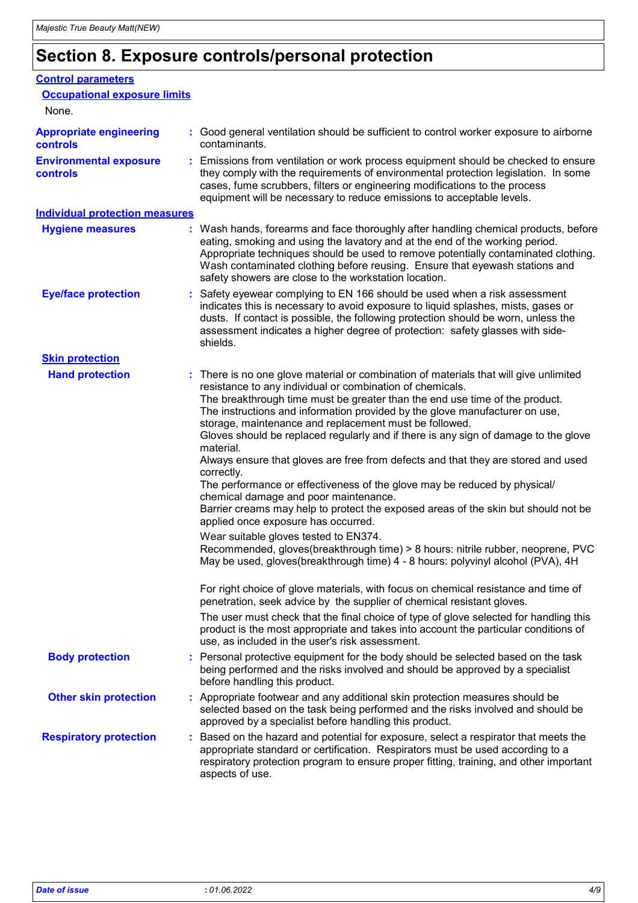# **Section 8. Exposure controls/personal protection**

| <b>Control parameters</b>                         |                                                                                                                                                                                                                                                                                                                                                                                                                                                                                                                                                                                                                                                                                                                                                                                                                                                                                                                                                                                                                                                                                                                                                                                                                                                                                                                                                                                                                                                        |
|---------------------------------------------------|--------------------------------------------------------------------------------------------------------------------------------------------------------------------------------------------------------------------------------------------------------------------------------------------------------------------------------------------------------------------------------------------------------------------------------------------------------------------------------------------------------------------------------------------------------------------------------------------------------------------------------------------------------------------------------------------------------------------------------------------------------------------------------------------------------------------------------------------------------------------------------------------------------------------------------------------------------------------------------------------------------------------------------------------------------------------------------------------------------------------------------------------------------------------------------------------------------------------------------------------------------------------------------------------------------------------------------------------------------------------------------------------------------------------------------------------------------|
| <b>Occupational exposure limits</b>               |                                                                                                                                                                                                                                                                                                                                                                                                                                                                                                                                                                                                                                                                                                                                                                                                                                                                                                                                                                                                                                                                                                                                                                                                                                                                                                                                                                                                                                                        |
| None.                                             |                                                                                                                                                                                                                                                                                                                                                                                                                                                                                                                                                                                                                                                                                                                                                                                                                                                                                                                                                                                                                                                                                                                                                                                                                                                                                                                                                                                                                                                        |
| <b>Appropriate engineering</b><br><b>controls</b> | : Good general ventilation should be sufficient to control worker exposure to airborne<br>contaminants.                                                                                                                                                                                                                                                                                                                                                                                                                                                                                                                                                                                                                                                                                                                                                                                                                                                                                                                                                                                                                                                                                                                                                                                                                                                                                                                                                |
| <b>Environmental exposure</b><br>controls         | : Emissions from ventilation or work process equipment should be checked to ensure<br>they comply with the requirements of environmental protection legislation. In some<br>cases, fume scrubbers, filters or engineering modifications to the process<br>equipment will be necessary to reduce emissions to acceptable levels.                                                                                                                                                                                                                                                                                                                                                                                                                                                                                                                                                                                                                                                                                                                                                                                                                                                                                                                                                                                                                                                                                                                        |
| <b>Individual protection measures</b>             |                                                                                                                                                                                                                                                                                                                                                                                                                                                                                                                                                                                                                                                                                                                                                                                                                                                                                                                                                                                                                                                                                                                                                                                                                                                                                                                                                                                                                                                        |
| <b>Hygiene measures</b>                           | : Wash hands, forearms and face thoroughly after handling chemical products, before<br>eating, smoking and using the lavatory and at the end of the working period.<br>Appropriate techniques should be used to remove potentially contaminated clothing.<br>Wash contaminated clothing before reusing. Ensure that eyewash stations and<br>safety showers are close to the workstation location.                                                                                                                                                                                                                                                                                                                                                                                                                                                                                                                                                                                                                                                                                                                                                                                                                                                                                                                                                                                                                                                      |
| <b>Eye/face protection</b>                        | : Safety eyewear complying to EN 166 should be used when a risk assessment<br>indicates this is necessary to avoid exposure to liquid splashes, mists, gases or<br>dusts. If contact is possible, the following protection should be worn, unless the<br>assessment indicates a higher degree of protection: safety glasses with side-<br>shields.                                                                                                                                                                                                                                                                                                                                                                                                                                                                                                                                                                                                                                                                                                                                                                                                                                                                                                                                                                                                                                                                                                     |
| <b>Skin protection</b>                            |                                                                                                                                                                                                                                                                                                                                                                                                                                                                                                                                                                                                                                                                                                                                                                                                                                                                                                                                                                                                                                                                                                                                                                                                                                                                                                                                                                                                                                                        |
| <b>Hand protection</b>                            | : There is no one glove material or combination of materials that will give unlimited<br>resistance to any individual or combination of chemicals.<br>The breakthrough time must be greater than the end use time of the product.<br>The instructions and information provided by the glove manufacturer on use,<br>storage, maintenance and replacement must be followed.<br>Gloves should be replaced regularly and if there is any sign of damage to the glove<br>material.<br>Always ensure that gloves are free from defects and that they are stored and used<br>correctly.<br>The performance or effectiveness of the glove may be reduced by physical/<br>chemical damage and poor maintenance.<br>Barrier creams may help to protect the exposed areas of the skin but should not be<br>applied once exposure has occurred.<br>Wear suitable gloves tested to EN374.<br>Recommended, gloves(breakthrough time) > 8 hours: nitrile rubber, neoprene, PVC<br>May be used, gloves(breakthrough time) 4 - 8 hours: polyvinyl alcohol (PVA), 4H<br>For right choice of glove materials, with focus on chemical resistance and time of<br>penetration, seek advice by the supplier of chemical resistant gloves.<br>The user must check that the final choice of type of glove selected for handling this<br>product is the most appropriate and takes into account the particular conditions of<br>use, as included in the user's risk assessment. |
| <b>Body protection</b>                            | : Personal protective equipment for the body should be selected based on the task<br>being performed and the risks involved and should be approved by a specialist<br>before handling this product.                                                                                                                                                                                                                                                                                                                                                                                                                                                                                                                                                                                                                                                                                                                                                                                                                                                                                                                                                                                                                                                                                                                                                                                                                                                    |
| <b>Other skin protection</b>                      | : Appropriate footwear and any additional skin protection measures should be<br>selected based on the task being performed and the risks involved and should be<br>approved by a specialist before handling this product.                                                                                                                                                                                                                                                                                                                                                                                                                                                                                                                                                                                                                                                                                                                                                                                                                                                                                                                                                                                                                                                                                                                                                                                                                              |
| <b>Respiratory protection</b>                     | : Based on the hazard and potential for exposure, select a respirator that meets the<br>appropriate standard or certification. Respirators must be used according to a<br>respiratory protection program to ensure proper fitting, training, and other important<br>aspects of use.                                                                                                                                                                                                                                                                                                                                                                                                                                                                                                                                                                                                                                                                                                                                                                                                                                                                                                                                                                                                                                                                                                                                                                    |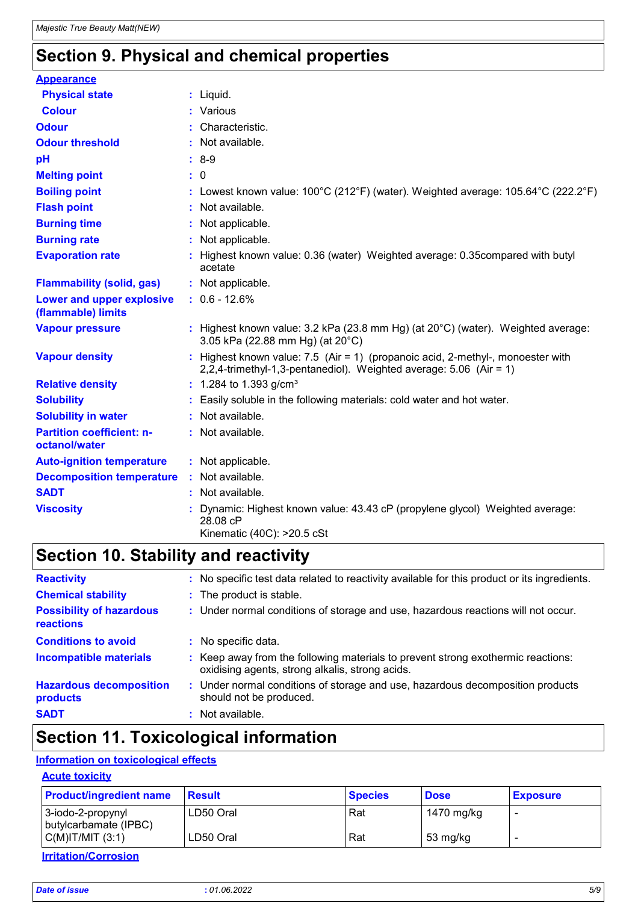## **Section 9. Physical and chemical properties**

| <b>Appearance</b>                                 |                                                                                                                                                         |
|---------------------------------------------------|---------------------------------------------------------------------------------------------------------------------------------------------------------|
| <b>Physical state</b>                             | $:$ Liquid.                                                                                                                                             |
| <b>Colour</b>                                     | : Various                                                                                                                                               |
| <b>Odour</b>                                      | : Characteristic.                                                                                                                                       |
| <b>Odour threshold</b>                            | : Not available.                                                                                                                                        |
| pH                                                | $: 8-9$                                                                                                                                                 |
| <b>Melting point</b>                              | : 0                                                                                                                                                     |
| <b>Boiling point</b>                              | : Lowest known value: 100°C (212°F) (water). Weighted average: 105.64°C (222.2°F)                                                                       |
| <b>Flash point</b>                                | : Not available.                                                                                                                                        |
| <b>Burning time</b>                               | : Not applicable.                                                                                                                                       |
| <b>Burning rate</b>                               | : Not applicable.                                                                                                                                       |
| <b>Evaporation rate</b>                           | : Highest known value: 0.36 (water) Weighted average: 0.35 compared with butyl<br>acetate                                                               |
| <b>Flammability (solid, gas)</b>                  | : Not applicable.                                                                                                                                       |
| Lower and upper explosive<br>(flammable) limits   | $: 0.6 - 12.6%$                                                                                                                                         |
| <b>Vapour pressure</b>                            | : Highest known value: $3.2$ kPa (23.8 mm Hg) (at $20^{\circ}$ C) (water). Weighted average:<br>3.05 kPa (22.88 mm Hg) (at 20°C)                        |
| <b>Vapour density</b>                             | : Highest known value: $7.5$ (Air = 1) (propanoic acid, 2-methyl-, monoester with<br>2,2,4-trimethyl-1,3-pentanediol). Weighted average: 5.06 (Air = 1) |
| <b>Relative density</b>                           | : 1.284 to 1.393 g/cm <sup>3</sup>                                                                                                                      |
| <b>Solubility</b>                                 | : Easily soluble in the following materials: cold water and hot water.                                                                                  |
| <b>Solubility in water</b>                        | : Not available.                                                                                                                                        |
| <b>Partition coefficient: n-</b><br>octanol/water | : Not available.                                                                                                                                        |
| <b>Auto-ignition temperature</b>                  | : Not applicable.                                                                                                                                       |
| <b>Decomposition temperature</b>                  | : Not available.                                                                                                                                        |
| <b>SADT</b>                                       | : Not available.                                                                                                                                        |
| <b>Viscosity</b>                                  | Dynamic: Highest known value: 43.43 cP (propylene glycol) Weighted average:<br>28.08 cP<br>Kinematic (40C): >20.5 cSt                                   |

### **Section 10. Stability and reactivity**

| <b>Reactivity</b>                            | : No specific test data related to reactivity available for this product or its ingredients.                                        |
|----------------------------------------------|-------------------------------------------------------------------------------------------------------------------------------------|
| <b>Chemical stability</b>                    | : The product is stable.                                                                                                            |
| <b>Possibility of hazardous</b><br>reactions | : Under normal conditions of storage and use, hazardous reactions will not occur.                                                   |
| <b>Conditions to avoid</b>                   | : No specific data.                                                                                                                 |
| <b>Incompatible materials</b>                | : Keep away from the following materials to prevent strong exothermic reactions:<br>oxidising agents, strong alkalis, strong acids. |
| <b>Hazardous decomposition</b><br>products   | : Under normal conditions of storage and use, hazardous decomposition products<br>should not be produced.                           |
| <b>SADT</b>                                  | : Not available.                                                                                                                    |

### **Section 11. Toxicological information**

### **Information on toxicological effects**

**Acute toxicity**

| <b>Product/ingredient name</b>             | Result    | <b>Species</b> | <b>Dose</b> | <b>Exposure</b> |
|--------------------------------------------|-----------|----------------|-------------|-----------------|
| 3-iodo-2-propynyl<br>butylcarbamate (IPBC) | LD50 Oral | Rat            | 1470 mg/kg  |                 |
| C(M) T/MIT (3:1)                           | LD50 Oral | Rat            | 53 mg/kg    |                 |

**Irritation/Corrosion**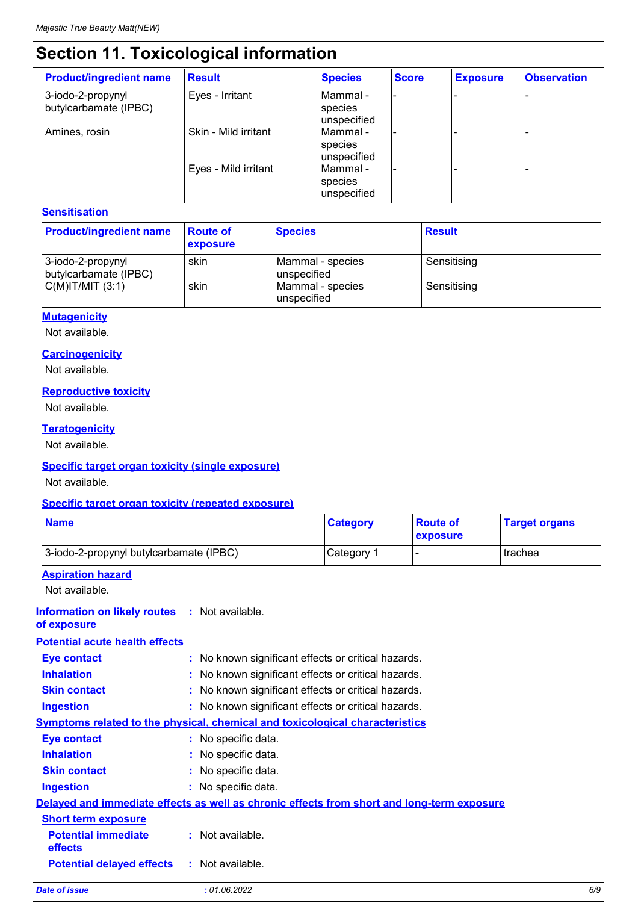# **Section 11. Toxicological information**

| <b>Product/ingredient name</b>             | <b>Result</b>        | <b>Species</b>                       | <b>Score</b> | <b>Exposure</b> | <b>Observation</b> |
|--------------------------------------------|----------------------|--------------------------------------|--------------|-----------------|--------------------|
| 3-iodo-2-propynyl<br>butylcarbamate (IPBC) | Eyes - Irritant      | l Mammal -<br>species<br>unspecified |              |                 |                    |
| Amines, rosin                              | Skin - Mild irritant | Mammal -<br>species<br>unspecified   |              |                 |                    |
|                                            | Eyes - Mild irritant | Mammal -<br>species<br>unspecified   |              |                 |                    |

#### **Sensitisation**

| <b>Product/ingredient name</b>             | <b>Route of</b><br><b>exposure</b> | <b>Species</b>                  | <b>Result</b> |
|--------------------------------------------|------------------------------------|---------------------------------|---------------|
| 3-iodo-2-propynyl<br>butylcarbamate (IPBC) | skin                               | Mammal - species<br>unspecified | Sensitising   |
| $C(M)$ IT/MIT $(3:1)$                      | skin                               | Mammal - species<br>unspecified | Sensitising   |

#### **Mutagenicity**

Not available.

#### **Carcinogenicity**

Not available.

#### **Reproductive toxicity**

Not available.

#### **Teratogenicity**

Not available.

#### **Specific target organ toxicity (single exposure)**

Not available.

#### **Specific target organ toxicity (repeated exposure)**

| <b>Name</b>                             | <b>Category</b> | <b>Route of</b><br><b>exposure</b> | <b>Target organs</b> |
|-----------------------------------------|-----------------|------------------------------------|----------------------|
| 3-iodo-2-propynyl butylcarbamate (IPBC) | Category 1      |                                    | trachea              |

#### **Aspiration hazard**

Not available.

**Information on likely routes :** Not available.

**of exposure**

#### **Potential acute health effects**

| <b>Eye contact</b>                           | : No known significant effects or critical hazards.                                        |     |
|----------------------------------------------|--------------------------------------------------------------------------------------------|-----|
| <b>Inhalation</b>                            | : No known significant effects or critical hazards.                                        |     |
| <b>Skin contact</b>                          | : No known significant effects or critical hazards.                                        |     |
| <b>Ingestion</b>                             | : No known significant effects or critical hazards.                                        |     |
|                                              | <b>Symptoms related to the physical, chemical and toxicological characteristics</b>        |     |
| <b>Eye contact</b>                           | : No specific data.                                                                        |     |
| <b>Inhalation</b>                            | : No specific data.                                                                        |     |
| <b>Skin contact</b>                          | : No specific data.                                                                        |     |
| <b>Ingestion</b>                             | : No specific data.                                                                        |     |
|                                              | Delayed and immediate effects as well as chronic effects from short and long-term exposure |     |
| <b>Short term exposure</b>                   |                                                                                            |     |
| <b>Potential immediate</b><br><b>effects</b> | : Not available.                                                                           |     |
| <b>Potential delayed effects</b>             | : Not available.                                                                           |     |
| <b>Date of issue</b>                         | : 01.06.2022                                                                               | 6/9 |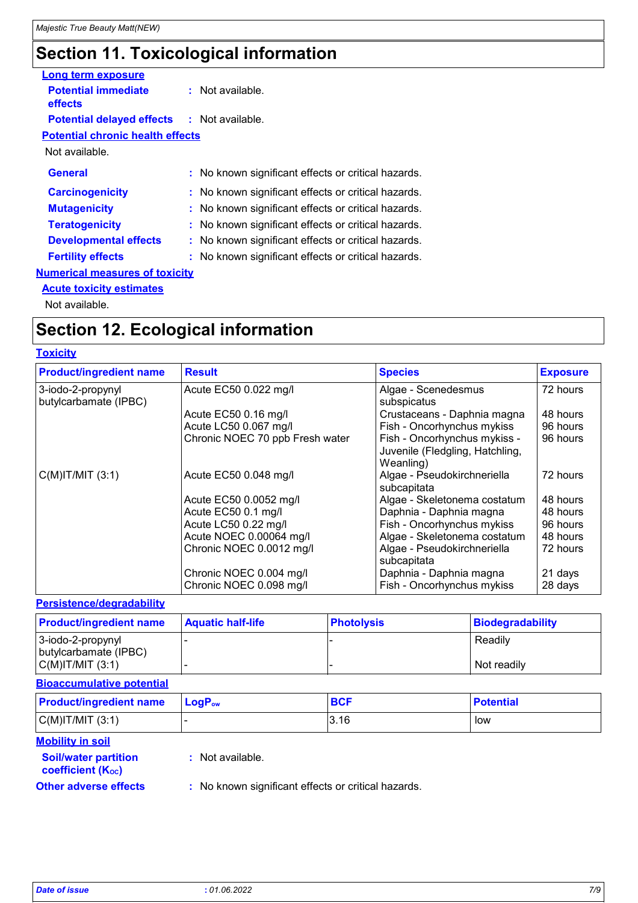## **Section 11. Toxicological information**

| <b>Long term exposure</b>                         |                                                     |
|---------------------------------------------------|-----------------------------------------------------|
| <b>Potential immediate</b><br>effects             | : Not available.                                    |
| <b>Potential delayed effects : Not available.</b> |                                                     |
| <b>Potential chronic health effects</b>           |                                                     |
| Not available.                                    |                                                     |
| <b>General</b>                                    | : No known significant effects or critical hazards. |
| <b>Carcinogenicity</b>                            | : No known significant effects or critical hazards. |
| <b>Mutagenicity</b>                               | : No known significant effects or critical hazards. |
| <b>Teratogenicity</b>                             | : No known significant effects or critical hazards. |
| <b>Developmental effects</b>                      | : No known significant effects or critical hazards. |
| <b>Fertility effects</b>                          | : No known significant effects or critical hazards. |
| <b>Numerical measures of toxicity</b>             |                                                     |
| <b>Acute toxicity estimates</b>                   |                                                     |
| Not available.                                    |                                                     |

## **Section 12. Ecological information**

#### **Toxicity** 3-iodo-2-propynyl butylcarbamate (IPBC) Acute EC50 0.022 mg/l Algae - Scenedesmus subspicatus 72 hours Acute EC50 0.16 mg/l Crustaceans - Daphnia magna 48 hours Acute LC50 0.067 mg/l Fish - Oncorhynchus mykiss 96 hours Chronic NOEC 70 ppb Fresh water  $\vert$  Fish - Oncorhynchus mykiss -Juvenile (Fledgling, Hatchling, Weanling) 96 hours C(M)IT/MIT (3:1) Acute EC50 0.048 mg/l Algae - Pseudokirchneriella subcapitata 72 hours Acute EC50 0.0052 mg/l Algae - Skeletonema costatum 48 hours Acute EC50 0.1 mg/l  $\overline{\phantom{a}}$  Daphnia - Daphnia magna 48 hours Acute LC50 0.22 mg/l Fish - Oncorhynchus mykiss 96 hours<br>Acute NOEC 0.00064 mg/l Algae - Skeletonema costatum 48 hours Acute NOEC 0.00064 mg/l Algae - Skeletonema costatum Chronic NOEC 0.0012 mg/l Algae - Pseudokirchneriella subcapitata 72 hours Chronic NOEC 0.004 mg/l Daphnia - Daphnia magna 21 days Chronic NOEC 0.098 mg/l Fish - Oncorhynchus mykiss 28 days **Product/ingredient name** Result **Result Result Exposure Exposure**

#### **Persistence/degradability**

| <b>Product/ingredient name</b>             | <b>Aquatic half-life</b> | <b>Photolysis</b> | Biodegradability |
|--------------------------------------------|--------------------------|-------------------|------------------|
| 3-iodo-2-propynyl<br>butylcarbamate (IPBC) |                          |                   | Readily          |
| C(M) T/MIT (3:1)                           |                          |                   | Not readily      |

#### **Bioaccumulative potential**

| <b>Product/ingredient name</b> | $\mathsf{LocP}_\mathsf{ow}$ | <b>BCF</b> | <b>Potential</b> |
|--------------------------------|-----------------------------|------------|------------------|
| $C(M)$ IT/MIT $(3:1)$          |                             | l3.16      | low              |

#### **Mobility in soil**

**Soil/water partition coefficient (Koc)** 

**:** Not available.

**Other adverse effects** : No known significant effects or critical hazards.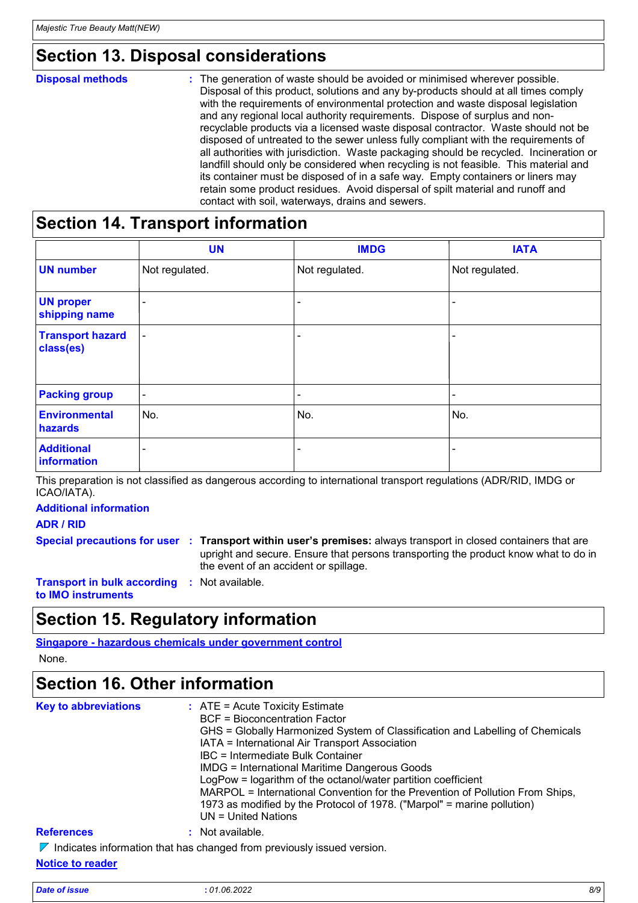### **Section 13. Disposal considerations**

#### **Disposal methods :**

The generation of waste should be avoided or minimised wherever possible. Disposal of this product, solutions and any by-products should at all times comply with the requirements of environmental protection and waste disposal legislation and any regional local authority requirements. Dispose of surplus and nonrecyclable products via a licensed waste disposal contractor. Waste should not be disposed of untreated to the sewer unless fully compliant with the requirements of all authorities with jurisdiction. Waste packaging should be recycled. Incineration or landfill should only be considered when recycling is not feasible. This material and its container must be disposed of in a safe way. Empty containers or liners may retain some product residues. Avoid dispersal of spilt material and runoff and contact with soil, waterways, drains and sewers.

### **Section 14. Transport information**

|                                      | <b>UN</b>                | <b>IMDG</b>              | <b>IATA</b>    |
|--------------------------------------|--------------------------|--------------------------|----------------|
| <b>UN number</b>                     | Not regulated.           | Not regulated.           | Not regulated. |
| <b>UN proper</b><br>shipping name    | ۰                        |                          | ۰              |
| <b>Transport hazard</b><br>class(es) | $\blacksquare$           | $\overline{\phantom{0}}$ | ۰              |
| <b>Packing group</b>                 | $\overline{\phantom{a}}$ | ۰                        | ۰              |
| <b>Environmental</b><br>hazards      | No.                      | No.                      | No.            |
| <b>Additional</b><br>information     | ۰                        |                          |                |

This preparation is not classified as dangerous according to international transport regulations (ADR/RID, IMDG or ICAO/IATA).

### **Additional information**

**ADR / RID**

**Special precautions for user Transport within user's premises:** always transport in closed containers that are **:** upright and secure. Ensure that persons transporting the product know what to do in the event of an accident or spillage.

**Transport in bulk according :** Not available. **to IMO instruments**

## **Section 15. Regulatory information**

#### **Singapore - hazardous chemicals under government control**

None.

### **Section 16. Other information**

| <b>Key to abbreviations</b> | : ATE = Acute Toxicity Estimate<br><b>BCF</b> = Bioconcentration Factor<br>GHS = Globally Harmonized System of Classification and Labelling of Chemicals<br>IATA = International Air Transport Association<br>IBC = Intermediate Bulk Container<br><b>IMDG = International Maritime Dangerous Goods</b><br>LogPow = logarithm of the octanol/water partition coefficient<br>MARPOL = International Convention for the Prevention of Pollution From Ships,<br>1973 as modified by the Protocol of 1978. ("Marpol" = marine pollution)<br>$UN = United Nations$ |
|-----------------------------|---------------------------------------------------------------------------------------------------------------------------------------------------------------------------------------------------------------------------------------------------------------------------------------------------------------------------------------------------------------------------------------------------------------------------------------------------------------------------------------------------------------------------------------------------------------|
| <b>References</b>           | : Not available.                                                                                                                                                                                                                                                                                                                                                                                                                                                                                                                                              |
|                             | Indicates information that has changed from previously issued version.                                                                                                                                                                                                                                                                                                                                                                                                                                                                                        |

### **Notice to reader**

| Date of issue | 01.06.2022<br>. | 8/9 |
|---------------|-----------------|-----|
|---------------|-----------------|-----|